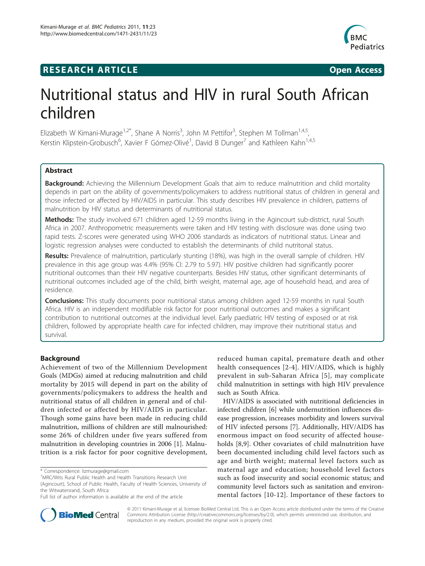# **RESEARCH ARTICLE CONSUMING ACCESS**



# Nutritional status and HIV in rural South African children

Elizabeth W Kimani-Murage<sup>1,2\*</sup>, Shane A Norris<sup>3</sup>, John M Pettifor<sup>3</sup>, Stephen M Tollman<sup>1,4,5</sup>, Kerstin Klipstein-Grobusch<sup>6</sup>, Xavier F Gómez-Olivé<sup>1</sup>, David B Dunger<sup>7</sup> and Kathleen Kahn<sup>1,4,5</sup>

# Abstract

Background: Achieving the Millennium Development Goals that aim to reduce malnutrition and child mortality depends in part on the ability of governments/policymakers to address nutritional status of children in general and those infected or affected by HIV/AIDS in particular. This study describes HIV prevalence in children, patterns of malnutrition by HIV status and determinants of nutritional status.

Methods: The study involved 671 children aged 12-59 months living in the Agincourt sub-district, rural South Africa in 2007. Anthropometric measurements were taken and HIV testing with disclosure was done using two rapid tests. Z-scores were generated using WHO 2006 standards as indicators of nutritional status. Linear and logistic regression analyses were conducted to establish the determinants of child nutritonal status.

Results: Prevalence of malnutrition, particularly stunting (18%), was high in the overall sample of children. HIV prevalence in this age group was 4.4% (95% CI: 2.79 to 5.97). HIV positive children had significantly poorer nutritional outcomes than their HIV negative counterparts. Besides HIV status, other significant determinants of nutritional outcomes included age of the child, birth weight, maternal age, age of household head, and area of residence.

**Conclusions:** This study documents poor nutritional status among children aged 12-59 months in rural South Africa. HIV is an independent modifiable risk factor for poor nutritional outcomes and makes a significant contribution to nutritional outcomes at the individual level. Early paediatric HIV testing of exposed or at risk children, followed by appropriate health care for infected children, may improve their nutritional status and survival.

# **Background**

Achievement of two of the Millennium Development Goals (MDGs) aimed at reducing malnutrition and child mortality by 2015 will depend in part on the ability of governments/policymakers to address the health and nutritional status of all children in general and of children infected or affected by HIV/AIDS in particular. Though some gains have been made in reducing child malnutrition, millions of children are still malnourished: some 26% of children under five years suffered from malnutrition in developing countries in 2006 [\[1\]](#page-11-0). Malnutrition is a risk factor for poor cognitive development,

\* Correspondence: [lizmurage@gmail.com](mailto:lizmurage@gmail.com)

reduced human capital, premature death and other health consequences [[2-4\]](#page-11-0). HIV/AIDS, which is highly prevalent in sub-Saharan Africa [[5](#page-11-0)], may complicate child malnutrition in settings with high HIV prevalence such as South Africa.

HIV/AIDS is associated with nutritional deficiencies in infected children [[6\]](#page-11-0) while undernutrition influences disease progression, increases morbidity and lowers survival of HIV infected persons [[7\]](#page-11-0). Additionally, HIV/AIDS has enormous impact on food security of affected households [[8,9](#page-11-0)]. Other covariates of child malnutrition have been documented including child level factors such as age and birth weight; maternal level factors such as maternal age and education; household level factors such as food insecurity and social economic status; and community level factors such as sanitation and environmental factors [\[10-12\]](#page-11-0). Importance of these factors to



© 2011 Kimani-Murage et al; licensee BioMed Central Ltd. This is an Open Access article distributed under the terms of the Creative Commons Attribution License [\(http://creativecommons.org/licenses/by/2.0](http://creativecommons.org/licenses/by/2.0)), which permits unrestricted use, distribution, and reproduction in any medium, provided the original work is properly cited.

<sup>1</sup> MRC/Wits Rural Public Health and Health Transitions Research Unit (Agincourt), School of Public Health, Faculty of Health Sciences, University of the Witwatersrand, South Africa

Full list of author information is available at the end of the article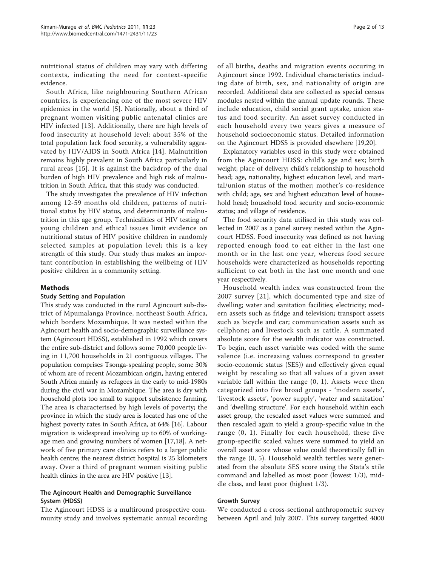nutritional status of children may vary with differing contexts, indicating the need for context-specific evidence.

South Africa, like neighbouring Southern African countries, is experiencing one of the most severe HIV epidemics in the world [[5\]](#page-11-0). Nationally, about a third of pregnant women visiting public antenatal clinics are HIV infected [[13\]](#page-11-0). Additionally, there are high levels of food insecurity at household level: about 35% of the total population lack food security, a vulnerability aggravated by HIV/AIDS in South Africa [[14](#page-11-0)]. Malnutrition remains highly prevalent in South Africa particularly in rural areas [[15\]](#page-11-0). It is against the backdrop of the dual burden of high HIV prevalence and high risk of malnutrition in South Africa, that this study was conducted.

The study investigates the prevalence of HIV infection among 12-59 months old children, patterns of nutritional status by HIV status, and determinants of malnutrition in this age group. Technicalities of HIV testing of young children and ethical issues limit evidence on nutritional status of HIV positive children in randomly selected samples at population level; this is a key strength of this study. Our study thus makes an important contribution in establishing the wellbeing of HIV positive children in a community setting.

# Methods

# Study Setting and Population

This study was conducted in the rural Agincourt sub-district of Mpumalanga Province, northeast South Africa, which borders Mozambique. It was nested within the Agincourt health and socio-demographic surveillance system (Agincourt HDSS), established in 1992 which covers the entire sub-district and follows some 70,000 people living in 11,700 households in 21 contiguous villages. The population comprises Tsonga-speaking people, some 30% of whom are of recent Mozambican origin, having entered South Africa mainly as refugees in the early to mid-1980s during the civil war in Mozambique. The area is dry with household plots too small to support subsistence farming. The area is characterised by high levels of poverty; the province in which the study area is located has one of the highest poverty rates in South Africa, at 64% [[16](#page-11-0)]. Labour migration is widespread involving up to 60% of workingage men and growing numbers of women [[17,18\]](#page-11-0). A network of five primary care clinics refers to a larger public health centre; the nearest district hospital is 25 kilometers away. Over a third of pregnant women visiting public health clinics in the area are HIV positive [\[13\]](#page-11-0).

# The Agincourt Health and Demographic Surveillance System (HDSS)

The Agincourt HDSS is a multiround prospective community study and involves systematic annual recording

of all births, deaths and migration events occuring in Agincourt since 1992. Individual characteristics including date of birth, sex, and nationality of origin are recorded. Additional data are collected as special census modules nested within the annual update rounds. These include education, child social grant uptake, union status and food security. An asset survey conducted in each household every two years gives a measure of household socioeconomic status. Detailed information on the Agincourt HDSS is provided elsewhere [\[19,20\]](#page-11-0).

Explanatory variables used in this study were obtained from the Agincourt HDSS: child's age and sex; birth weight; place of delivery; child's relationship to household head; age, nationality, highest education level, and marital/union status of the mother; mother's co-residence with child; age, sex and highest education level of household head; household food security and socio-economic status; and village of residence.

The food security data utilised in this study was collected in 2007 as a panel survey nested within the Agincourt HDSS. Food insecurity was defined as not having reported enough food to eat either in the last one month or in the last one year, whereas food secure households were characterized as households reporting sufficient to eat both in the last one month and one year respectively.

Household wealth index was constructed from the 2007 survey [[21\]](#page-11-0), which documented type and size of dwelling; water and sanitation facilities; electricity; modern assets such as fridge and television; transport assets such as bicycle and car; communication assets such as cellphone; and livestock such as cattle. A summated absolute score for the wealth indicator was constructed. To begin, each asset variable was coded with the same valence (i.e. increasing values correspond to greater socio-economic status (SES)) and effectively given equal weight by rescaling so that all values of a given asset variable fall within the range (0, 1). Assets were then categorized into five broad groups - 'modern assets', 'livestock assets', 'power supply', 'water and sanitation' and 'dwelling structure'. For each household within each asset group, the rescaled asset values were summed and then rescaled again to yield a group-specific value in the range (0, 1). Finally for each household, these five group-specific scaled values were summed to yield an overall asset score whose value could theoretically fall in the range (0, 5). Household wealth tertiles were generated from the absolute SES score using the Stata's xtile command and labelled as most poor (lowest 1/3), middle class, and least poor (highest 1/3).

# Growth Survey

We conducted a cross-sectional anthropometric survey between April and July 2007. This survey targetted 4000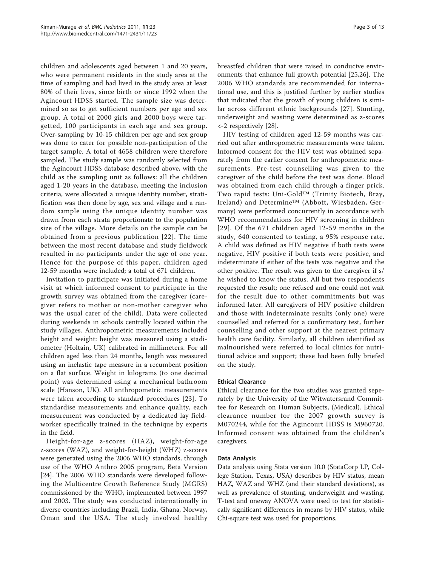children and adolescents aged between 1 and 20 years, who were permanent residents in the study area at the time of sampling and had lived in the study area at least 80% of their lives, since birth or since 1992 when the Agincourt HDSS started. The sample size was determined so as to get sufficient numbers per age and sex group. A total of 2000 girls and 2000 boys were targetted, 100 participants in each age and sex group. Over-sampling by 10-15 children per age and sex group was done to cater for possible non-participation of the target sample. A total of 4658 children were therefore sampled. The study sample was randomly selected from the Agincourt HDSS database described above, with the child as the sampling unit as follows: all the children aged 1-20 years in the database, meeting the inclusion criteria, were allocated a unique identity number, stratification was then done by age, sex and village and a random sample using the unique identity number was drawn from each strata proportionate to the population size of the village. More details on the sample can be obtained from a previous publication [[22](#page-11-0)]. The time between the most recent database and study fieldwork resulted in no participants under the age of one year. Hence for the purpose of this paper, children aged 12-59 months were included; a total of 671 children.

Invitation to participate was initiated during a home visit at which informed consent to participate in the growth survey was obtained from the caregiver (caregiver refers to mother or non-mother caregiver who was the usual carer of the child). Data were collected during weekends in schools centrally located within the study villages. Anthropometric measurements included height and weight: height was measured using a stadiometer (Holtain, UK) calibrated in millimeters. For all children aged less than 24 months, length was measured using an inelastic tape measure in a recumbent position on a flat surface. Weight in kilograms (to one decimal point) was determined using a mechanical bathroom scale (Hanson, UK). All anthropometric measurements were taken according to standard procedures [[23](#page-11-0)]. To standardise measurements and enhance quality, each measurement was conducted by a dedicated lay fieldworker specifically trained in the technique by experts in the field.

Height-for-age z-scores (HAZ), weight-for-age z-scores (WAZ), and weight-for-height (WHZ) z-scores were generated using the 2006 WHO standards, through use of the WHO Anthro 2005 program, Beta Version [[24\]](#page-11-0). The 2006 WHO standards were developed following the Multicentre Growth Reference Study (MGRS) commissioned by the WHO, implemented between 1997 and 2003. The study was conducted internationally in diverse countries including Brazil, India, Ghana, Norway, Oman and the USA. The study involved healthy breastfed children that were raised in conducive environments that enhance full growth potential [[25,26\]](#page-11-0). The 2006 WHO standards are recommended for international use, and this is justified further by earlier studies that indicated that the growth of young children is similar across different ethnic backgrounds [[27\]](#page-11-0). Stunting, underweight and wasting were determined as z-scores <-2 respectively [\[28](#page-11-0)].

HIV testing of children aged 12-59 months was carried out after anthropometric measurements were taken. Informed consent for the HIV test was obtained separately from the earlier consent for anthropometric measurements. Pre-test counselling was given to the caregiver of the child before the test was done. Blood was obtained from each child through a finger prick. Two rapid tests: Uni-Gold™ (Trinity Biotech, Bray, Ireland) and Determine™ (Abbott, Wiesbaden, Germany) were performed concurrently in accordance with WHO recommendations for HIV screening in children [[29\]](#page-11-0). Of the 671 children aged 12-59 months in the study, 640 consented to testing, a 95% response rate. A child was defined as HIV negative if both tests were negative, HIV positive if both tests were positive, and indeterminate if either of the tests was negative and the other positive. The result was given to the caregiver if s/ he wished to know the status. All but two respondents requested the result; one refused and one could not wait for the result due to other commitments but was informed later. All caregivers of HIV positive children and those with indeterminate results (only one) were counselled and referred for a confirmatory test, further counselling and other support at the nearest primary health care facility. Similarly, all children identified as malnourished were referred to local clinics for nutritional advice and support; these had been fully briefed on the study.

# Ethical Clearance

Ethical clearance for the two studies was granted seperately by the University of the Witwatersrand Committee for Research on Human Subjects, (Medical). Ethical clearance number for the 2007 growth survey is M070244, while for the Agincourt HDSS is M960720. Informed consent was obtained from the children's caregivers.

#### Data Analysis

Data analysis using Stata version 10.0 (StataCorp LP, College Station, Texas, USA) describes by HIV status, mean HAZ, WAZ and WHZ (and their standard deviations), as well as prevalence of stunting, underweight and wasting. T-test and oneway ANOVA were used to test for statistically significant differences in means by HIV status, while Chi-square test was used for proportions.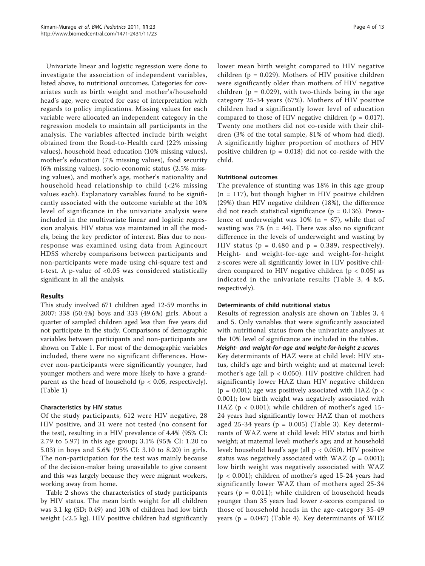Univariate linear and logistic regression were done to investigate the association of independent variables, listed above, to nutritional outcomes. Categories for covariates such as birth weight and mother's/household head's age, were created for ease of interpretation with regards to policy implications. Missing values for each variable were allocated an independent category in the regression models to maintain all participants in the analysis. The variables affected include birth weight obtained from the Road-to-Health card (22% missing values), household head education (10% missing values), mother's education (7% missing values), food security (6% missing values), socio-economic status (2.5% missing values), and mother's age, mother's nationality and household head relationship to child (<2% missing values each). Explanatory variables found to be significantly associated with the outcome variable at the 10% level of significance in the univariate analysis were included in the multivariate linear and logistic regression analysis. HIV status was maintained in all the models, being the key predictor of interest. Bias due to nonresponse was examined using data from Agincourt HDSS whereby comparisons between participants and non-participants were made using chi-square test and t-test. A p-value of <0.05 was considered statistically significant in all the analysis.

# Results

This study involved 671 children aged 12-59 months in 2007: 338 (50.4%) boys and 333 (49.6%) girls. About a quarter of sampled children aged less than five years did not participate in the study. Comparisons of demographic variables between participants and non-participants are shown on Table [1.](#page-4-0) For most of the demographic variables included, there were no significant differences. However non-participants were significantly younger, had younger mothers and were more likely to have a grandparent as the head of household ( $p < 0.05$ , respectively). (Table [1](#page-4-0))

# Characteristics by HIV status

Of the study participants, 612 were HIV negative, 28 HIV positive, and 31 were not tested (no consent for the test), resulting in a HIV prevalence of 4.4% (95% CI: 2.79 to 5.97) in this age group; 3.1% (95% CI: 1.20 to 5.03) in boys and 5.6% (95% CI: 3.10 to 8.20) in girls. The non-participation for the test was mainly because of the decision-maker being unavailable to give consent and this was largely because they were migrant workers, working away from home.

Table [2](#page-5-0) shows the characteristics of study participants by HIV status. The mean birth weight for all children was 3.1 kg (SD; 0.49) and 10% of children had low birth weight (<2.5 kg). HIV positive children had significantly lower mean birth weight compared to HIV negative children ( $p = 0.029$ ). Mothers of HIV positive children were significantly older than mothers of HIV negative children ( $p = 0.029$ ), with two-thirds being in the age category 25-34 years (67%). Mothers of HIV positive children had a significantly lower level of education compared to those of HIV negative children ( $p = 0.017$ ). Twenty one mothers did not co-reside with their children (3% of the total sample, 81% of whom had died). A significantly higher proportion of mothers of HIV positive children ( $p = 0.018$ ) did not co-reside with the child.

#### Nutritional outcomes

The prevalence of stunting was 18% in this age group  $(n = 117)$ , but though higher in HIV positive children (29%) than HIV negative children (18%), the difference did not reach statistical significance ( $p = 0.136$ ). Prevalence of underweight was  $10\%$  (n = 67), while that of wasting was 7% ( $n = 44$ ). There was also no significant difference in the levels of underweight and wasting by HIV status ( $p = 0.480$  and  $p = 0.389$ , respectively). Height- and weight-for-age and weight-for-height z-scores were all significantly lower in HIV positive children compared to HIV negative children ( $p < 0.05$ ) as indicated in the univariate results (Table [3](#page-7-0), [4](#page-8-0) &[5](#page-9-0), respectively).

# Determinants of child nutritional status

Results of regression analysis are shown on Tables [3,](#page-7-0) [4](#page-8-0) and [5.](#page-9-0) Only variables that were significantly associated with nutritional status from the univariate analyses at the 10% level of significance are included in the tables.

# Height- and weight-for-age and weight-for-height z-scores

Key determinants of HAZ were at child level: HIV status, child's age and birth weight; and at maternal level: mother's age (all  $p < 0.050$ ). HIV positive children had significantly lower HAZ than HIV negative children (p = 0.001); age was positively associated with HAZ (p < 0.001); low birth weight was negatively associated with HAZ (p < 0.001); while children of mother's aged 15- 24 years had significantly lower HAZ than of mothers aged 25-34 years ( $p = 0.005$ ) (Table [3\)](#page-7-0). Key determinants of WAZ were at child level: HIV status and birth weight; at maternal level: mother's age; and at household level: household head's age (all  $p < 0.050$ ). HIV positive status was negatively associated with WAZ ( $p = 0.001$ ); low birth weight was negatively associated with WAZ (p < 0.001); children of mother's aged 15-24 years had significantly lower WAZ than of mothers aged 25-34 years ( $p = 0.011$ ); while children of household heads younger than 35 years had lower z-scores compared to those of household heads in the age-category 35-49 years ( $p = 0.047$ ) (Table [4\)](#page-8-0). Key determinants of WHZ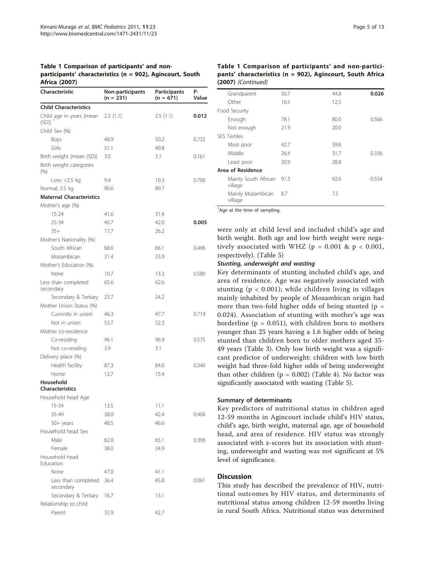<span id="page-4-0"></span>Table 1 Comparison of participants' and nonparticipants' characteristics (n = 902), Agincourt, South Africa (2007)

| Characteristic                          | <b>Non-participants</b><br>$(n = 231)$ | <b>Participants</b><br>$(n = 671)$ | Р-<br>Value |
|-----------------------------------------|----------------------------------------|------------------------------------|-------------|
| <b>Child Characteristics</b>            |                                        |                                    |             |
| Child age in years [mean<br>$(SD)^{-1}$ | 2.3(1.1)                               | 2.5(1.1)                           | 0.012       |
| Child Sex (%)                           |                                        |                                    |             |
| Boys                                    | 48.9                                   | 50.2                               | 0.732       |
| Girls                                   | 51.1                                   | 49.8                               |             |
| Birth weight [mean (SD)]                | 3.0                                    | 3.1                                | 0.161       |
| Birth weight categories<br>(% )         |                                        |                                    |             |
| Low; $<$ 2.5 kg                         | 9.4                                    | 10.3                               | 0.706       |
| Normal; 2.5 kg                          | 90.6                                   | 89.7                               |             |
| <b>Maternal Characteristics</b>         |                                        |                                    |             |
| Mother's age (%)                        |                                        |                                    |             |
| $15 - 24$                               | 41.6                                   | 31.4                               |             |
| $25 - 34$                               | 40.7                                   | 42.0                               | 0.005       |
| $35+$                                   | 17.7                                   | 26.2                               |             |
| Mother's Nationality (%)                |                                        |                                    |             |
| South African                           | 68.6                                   | 66.1                               | 0.496       |
| Mozambican                              | 31.4                                   | 33.9                               |             |
| Mother's Education (%)                  |                                        |                                    |             |
| None                                    | 10.7                                   | 13.3                               | 0.580       |
| Less than completed                     | 65.6                                   | 62.6                               |             |
| secondary<br>Secondary & Tertiary       | 23.7                                   | 24.2                               |             |
| Mother Union Status (%)                 |                                        |                                    |             |
|                                         |                                        |                                    | 0.719       |
| Currently in union<br>Not in union      | 46.3<br>53.7                           | 47.7<br>52.3                       |             |
|                                         |                                        |                                    |             |
| Mother co-residence                     |                                        |                                    |             |
| Co-residing                             | 96.1                                   | 96.9                               | 0.575       |
| Not co-residing                         | 3.9                                    | 3.1                                |             |
| Delivery place (%)                      |                                        |                                    |             |
| Health facility                         | 87.3                                   | 84.6                               | 0.340       |
| Home                                    | 12.7                                   | 15.4                               |             |
| Household<br><b>Characteristics</b>     |                                        |                                    |             |
| Household head Age                      |                                        |                                    |             |
| 15-34                                   | 13.5                                   | 11.1                               |             |
| 35-49                                   | 38.0                                   | 42.4                               | 0.406       |
| 50+ years                               | 48.5                                   | 46.6                               |             |
| Household head Sex                      |                                        |                                    |             |
| Male                                    | 62.0                                   | 65.1                               | 0.396       |
| Female                                  | 38.0                                   | 34.9                               |             |
| Household head<br>Education             |                                        |                                    |             |
| None                                    | 47.0                                   | 41.1                               |             |
| Less than completed<br>secondary        | 36.4                                   | 45.8                               | 0.061       |
| Secondary & Tertiary                    | 16.7                                   | 13.1                               |             |
| Relationship to child                   |                                        |                                    |             |
| Parent                                  | 32.9                                   | 42.7                               |             |

#### Table 1 Comparison of participants' and non-participants' characteristics (n = 902), Agincourt, South Africa (2007) (Continued)

| Grandparent                     | 50.7 | 44.8 | 0.026 |
|---------------------------------|------|------|-------|
| Other                           | 16.5 | 12.5 |       |
| Food Security                   |      |      |       |
| Enough                          | 78.1 | 80.0 | 0.566 |
| Not enough                      | 21.9 | 20.0 |       |
| <b>SES Tertiles</b>             |      |      |       |
| Most poor                       | 42.7 | 39.6 |       |
| Middle                          | 26.4 | 31.7 | 0.336 |
| Least poor                      | 30.9 | 28.8 |       |
| Area of Residence               |      |      |       |
| Mainly South African<br>village | 91.3 | 92.6 | 0.554 |
| Mainly Mozambican<br>village    | 8.7  | 7.5  |       |

<sup>1</sup>Age at the time of sampling.

were only at child level and included child's age and birth weight. Both age and low birth weight were negatively associated with WHZ ( $p = 0.001$  &  $p < 0.001$ , respectively). (Table [5\)](#page-9-0)

#### Stunting, underweight and wasting

Key determinants of stunting included child's age, and area of residence. Age was negatively associated with stunting  $(p < 0.001)$ ; while children living in villages mainly inhabited by people of Mozambican origin had more than two-fold higher odds of being stunted ( $p =$ 0.024). Association of stunting with mother's age was borderline ( $p = 0.051$ ), with children born to mothers younger than 25 years having a 1.6 higher odds of being stunted than children born to older mothers aged 35- 49 years (Table [3\)](#page-7-0). Only low birth weight was a significant predictor of underweight: children with low birth weight had three-fold higher odds of being underweight than other children ( $p = 0.002$ ) (Table [4\)](#page-8-0). No factor was significantly associated with wasting (Table [5\)](#page-9-0).

# Summary of determinants

Key predictors of nutritional status in children aged 12-59 months in Agincourt include child's HIV status, child's age, birth weight, maternal age, age of household head, and area of residence. HIV status was strongly associated with z-scores but its association with stunting, underweight and wasting was not significant at 5% level of significance.

#### **Discussion**

This study has described the prevalence of HIV, nutritional outcomes by HIV status, and determinants of nutritional status among children 12-59 months living in rural South Africa. Nutritional status was determined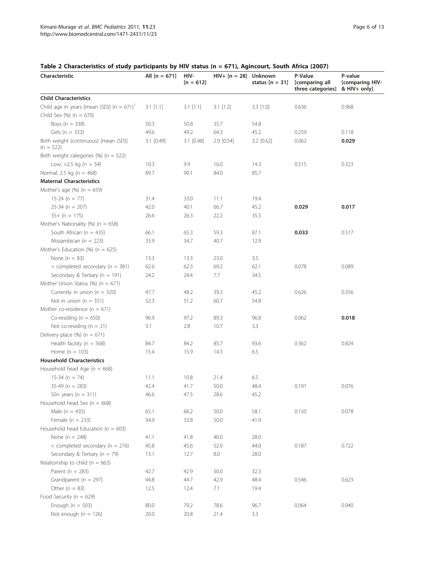# <span id="page-5-0"></span>Table 2 Characteristics of study participants by HIV status (n = 671), Agincourt, South Africa (2007)

| $\sim$ Characteristics of staaj participative sy The Status (ii – of I)) rightcoard South Annea (2007) | All $[n = 671]$ | HIV-        |                         |                   |                                                |                                            |
|--------------------------------------------------------------------------------------------------------|-----------------|-------------|-------------------------|-------------------|------------------------------------------------|--------------------------------------------|
| Characteristic                                                                                         |                 | $[n = 612]$ | $HIV+$ [n = 28] Unknown | status $[n = 31]$ | P-Value<br>[comparing all<br>three categories] | P-value<br>[comparing HIV-<br>& HIV+ only] |
| <b>Child Characteristics</b>                                                                           |                 |             |                         |                   |                                                |                                            |
| Child age in years [mean (SD)] $(n = 671)^T$                                                           | $3.1$ $[1.1]$   | $3.1$ [1.1] | $3.1$ $[1.2]$           | 3.3 [1.0]         | 0.636                                          | 0.968                                      |
| Child Sex $(\%)(n = 670)$                                                                              |                 |             |                         |                   |                                                |                                            |
| Boys ( $n = 338$ )                                                                                     | 50.3            | 50.8        | 35.7                    | 54.8              |                                                |                                            |
| Girls ( $n = 333$ )                                                                                    | 49.6            | 49.2        | 64.3                    | 45.2              | 0.259                                          | 0.118                                      |
| Birth weight (continuous) [mean (SD)]<br>$(n = 522)$                                                   | 3.1 [0.49]      | 3.1 [0.48]  | 2.9 [0.54]              | 3.2 [0.62]        | 0.062                                          | 0.029                                      |
| Birth weight categories $%$ (%) (n = 522)                                                              |                 |             |                         |                   |                                                |                                            |
| Low; $<2.5$ kg (n = 54)                                                                                | 10.3            | 9.9         | 16.0                    | 14.3              | 0.515                                          | 0.323                                      |
| Normal; 2.5 kg ( $n = 468$ )                                                                           | 89.7            | 90.1        | 84.0                    | 85.7              |                                                |                                            |
| <b>Maternal Characteristics</b>                                                                        |                 |             |                         |                   |                                                |                                            |
| Mother's age $(\%)$ (n = 659)                                                                          |                 |             |                         |                   |                                                |                                            |
| $15-24 (n = 77)$                                                                                       | 31.4            | 33.0        | 11.1                    | 19.4              |                                                |                                            |
| $25-34$ (n = 207)                                                                                      | 42.0            | 40.1        | 66.7                    | 45.2              | 0.029                                          | 0.017                                      |
| $35+ (n = 175)$                                                                                        | 26.6            | 26.3        | 22.2                    | 35.5              |                                                |                                            |
| Mother's Nationality (%) ( $n = 658$ )                                                                 |                 |             |                         |                   |                                                |                                            |
| South African ( $n = 435$ )                                                                            | 66.1            | 65.3        | 59.3                    | 87.1              | 0.033                                          | 0.517                                      |
| Mozambican ( $n = 223$ )                                                                               | 33.9            | 34.7        | 40.7                    | 12.9              |                                                |                                            |
| Mother's Education $(\%)$ (n = 625)                                                                    |                 |             |                         |                   |                                                |                                            |
| None $(n = 83)$                                                                                        | 13.3            | 13.3        | 23.0                    | 3.5               |                                                |                                            |
| $<$ completed secondary (n = 381)                                                                      | 62.6            | 62.3        | 69.2                    | 62.1              | 0.078                                          | 0.089                                      |
| Secondary & Tertiary ( $n = 191$ )                                                                     | 24.2            | 24.4        | 7.7                     | 34.5              |                                                |                                            |
| Mother Union Status (%) ( $n = 671$ )                                                                  |                 |             |                         |                   |                                                |                                            |
| Currently in union ( $n = 320$ )                                                                       | 47.7            | 48.2        | 39.3                    | 45.2              | 0.626                                          | 0.356                                      |
| Not in union $(n = 351)$                                                                               | 52.3            | 51.2        | 60.7                    | 54.8              |                                                |                                            |
| Mother co-residence ( $n = 671$ )                                                                      |                 |             |                         |                   |                                                |                                            |
| Co-residing ( $n = 650$ )                                                                              | 96.9            | 97.2        | 89.3                    | 96.8              | 0.062                                          | 0.018                                      |
| Not co-residing ( $n = 21$ )                                                                           | 3.1             | 2.8         | 10.7                    | 3.3               |                                                |                                            |
| Delivery place $(\%)$ (n = 671)                                                                        |                 |             |                         |                   |                                                |                                            |
| Health facility ( $n = 568$ )                                                                          | 84.7            | 84.2        | 85.7                    | 93.6              | 0.362                                          | 0.824                                      |
| Home $(n = 103)$                                                                                       | 15.4            | 15.9        | 14.3                    | 6.5               |                                                |                                            |
| <b>Household Characteristics</b>                                                                       |                 |             |                         |                   |                                                |                                            |
| Household head Age ( $n = 668$ )                                                                       |                 |             |                         |                   |                                                |                                            |
| $15-34 (n = 74)$                                                                                       | 11.1            | 10.8        | 21.4                    | 6.5               |                                                |                                            |
| $35-49$ (n = 283)                                                                                      | 42.4            | 41.7        | 50.0                    | 48.4              | 0.191                                          | 0.076                                      |
| 50+ years ( $n = 311$ )                                                                                | 46.6            | 47.5        | 28.6                    | 45.2              |                                                |                                            |
| Household head Sex ( $n = 668$ )                                                                       |                 |             |                         |                   |                                                |                                            |
| Male ( $n = 435$ )                                                                                     | 65.1            | 66.2        | 50.0                    | 58.1              | 0.150                                          | 0.078                                      |
| Female ( $n = 233$ )                                                                                   | 34.9            | 33.8        | 50.0                    | 41.9              |                                                |                                            |
| Household head Education ( $n = 603$ )                                                                 |                 |             |                         |                   |                                                |                                            |
| None ( $n = 248$ )                                                                                     | 41.1            | 41.8        | 40.0                    | 28.0              |                                                |                                            |
| < completed secondary ( $n = 276$ )                                                                    | 45.8            | 45.6        | 52.0                    | 44.0              | 0.187                                          | 0.722                                      |
| Secondary & Tertiary ( $n = 79$ )                                                                      | 13.1            | 12.7        | 8.0                     | 28.0              |                                                |                                            |
| Relationship to child ( $n = 663$ )                                                                    |                 |             |                         |                   |                                                |                                            |
| Parent ( $n = 283$ )                                                                                   | 42.7            | 42.9        | 50.0                    | 32.3              |                                                |                                            |
| Grandparent ( $n = 297$ )                                                                              | 44.8            | 44.7        | 42.9                    | 48.4              | 0.546                                          | 0.623                                      |
| Other ( $n = 83$ )                                                                                     | 12.5            | 12.4        | 7.1                     | 19.4              |                                                |                                            |
| Food Security ( $n = 629$ )                                                                            |                 |             |                         |                   |                                                |                                            |
| Enough ( $n = 503$ )                                                                                   | 80.0            | 79.2        | 78.6                    | 96.7              | 0.064                                          | 0.940                                      |
| Not enough ( $n = 126$ )                                                                               | 20.0            | 20.8        | 21.4                    | 3.3               |                                                |                                            |
|                                                                                                        |                 |             |                         |                   |                                                |                                            |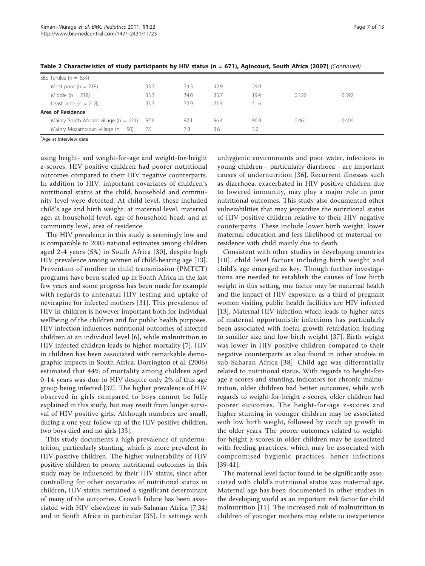| Most poor $(n = 218)$                  | 33.3                                            | 33.3                                            | 42.9 | 29.0 |       |       |
|----------------------------------------|-------------------------------------------------|-------------------------------------------------|------|------|-------|-------|
| Middle ( $n = 218$ )                   | 33.3                                            | 34.0                                            | 35.7 | 19.4 | 0.126 | 0.392 |
| Least poor $(n = 218)$                 | 33.3                                            | 32.9                                            | 21.4 | 51.6 |       |       |
|                                        |                                                 |                                                 |      |      |       |       |
|                                        |                                                 | 92.1                                            | 96.4 | 96.8 | 0.461 | 0.406 |
| Mainly Mozambican village ( $n = 50$ ) | - 7.5                                           | 7.8                                             | 3.6  | 3.2  |       |       |
|                                        | SES Tertiles ( $n = 654$ )<br>Area of Residence | Mainly South African village ( $n = 621$ ) 92.6 |      |      |       |       |

Table 2 Characteristics of study participants by HIV status (n = 671), Agincourt, South Africa (2007) (Continued)

<sup>1</sup>Age at interview date

using height- and weight-for-age and weight-for-height z-scores. HIV positive children had poorer nutritional outcomes compared to their HIV negative counterparts. In addition to HIV, important covariates of children's nutritional status at the child, household and community level were detected. At child level, these included child's age and birth weight; at maternal level, maternal age; at household level, age of household head; and at community level, area of residence.

The HIV prevalence in this study is seemingly low and is comparable to 2005 national estimates among children aged 2-4 years (5%) in South Africa [\[30\]](#page-11-0), despite high HIV prevalence among women of child-bearing age [\[13](#page-11-0)]. Prevention of mother to child transmission (PMTCT) programs have been scaled up in South Africa in the last few years and some progress has been made for example with regards to antenatal HIV testing and uptake of nevirapine for infected mothers [[31](#page-11-0)]. This prevalence of HIV in children is however important both for individual wellbeing of the children and for public health purposes. HIV infection influences nutritional outcomes of infected children at an individual level [[6\]](#page-11-0), while malnutrition in HIV infected children leads to higher mortality [\[7](#page-11-0)]. HIV in children has been associated with remarkable demographic impacts in South Africa. Dorrington et al. (2006) estimated that 44% of mortality among children aged 0-14 years was due to HIV despite only 2% of this age group being infected [\[32](#page-12-0)]. The higher prevalence of HIV observed in girls compared to boys cannot be fully explained in this study, but may result from longer survival of HIV positive girls. Although numbers are small, during a one year follow-up of the HIV positive children, two boys died and no girls [[33](#page-12-0)].

This study documents a high prevalence of undernutrition, particularly stunting, which is more prevalent in HIV positive children. The higher vulnerability of HIV positive children to poorer nutritional outcomes in this study may be influenced by their HIV status, since after controlling for other covariates of nutritional status in children, HIV status remained a significant determinant of many of the outcomes. Growth failure has been associated with HIV elsewhere in sub-Saharan Africa [[7](#page-11-0)[,34](#page-12-0)] and in South Africa in particular [[35\]](#page-12-0). In settings with

unhygienic environments and poor water, infections in young children - particularly diarrhoea - are important causes of undernutrition [\[36\]](#page-12-0). Recurrent illnesses such as diarrhoea, exacerbated in HIV positive children due to lowered immunity, may play a major role in poor nutritional outcomes. This study also documented other vulnerabilities that may jeopardize the nutritional status of HIV positive children relative to their HIV negative counterparts. These include lower birth weight, lower maternal education and less likelihood of maternal coresidence with child mainly due to death.

Consistent with other studies in developing countries [[10](#page-11-0)], child level factors including birth weight and child's age emerged as key. Though further investigations are needed to establish the causes of low birth weight in this setting, one factor may be maternal health and the impact of HIV exposure, as a third of pregnant women visiting public health facilities are HIV infected [[13\]](#page-11-0). Maternal HIV infection which leads to higher rates of maternal opportunistic infections has particularly been associated with foetal growth retardation leading to smaller size and low birth weight [[37\]](#page-12-0). Birth weight was lower in HIV positive children compared to their negative counterparts as also found in other studies in sub-Saharan Africa [[38](#page-12-0)]. Child age was differentially related to nutritional status. With regards to height-forage z-scores and stunting, indicators for chronic malnutrition, older children had better outcomes, while with regards to weight-for-height z-scores, older children had poorer outcomes. The height-for-age z-scores and higher stunting in younger children may be associated with low birth weight, followed by catch up growth in the older years. The poorer outcomes related to weightfor-height z-scores in older children may be associated with feeding practices, which may be associated with compromised hygienic practices, hence infections [[39-41\]](#page-12-0).

The maternal level factor found to be significantly associated with child's nutritional status was maternal age. Maternal age has been documented in other studies in the developing world as an important risk factor for child malnutrition [\[11](#page-11-0)]. The increased risk of malnutrition in children of younger mothers may relate to inexperience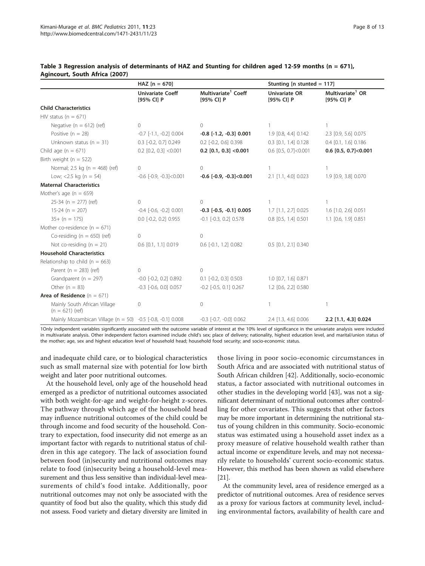|                                                            | $HAZ$ [n = 670]                       |                                               |                                    | Stunting [n stunted = $117$ ]              |  |  |
|------------------------------------------------------------|---------------------------------------|-----------------------------------------------|------------------------------------|--------------------------------------------|--|--|
|                                                            | <b>Univariate Coeff</b><br>[95% CI] P | Multivariate <sup>1</sup> Coeff<br>[95% CI] P | <b>Univariate OR</b><br>[95% CI] P | Multivariate <sup>1</sup> OR<br>[95% CI] P |  |  |
| <b>Child Characteristics</b>                               |                                       |                                               |                                    |                                            |  |  |
| HIV status ( $n = 671$ )                                   |                                       |                                               |                                    |                                            |  |  |
| Negative ( $n = 612$ ) (ref)                               | $\Omega$                              | $\Omega$                                      |                                    |                                            |  |  |
| Positive ( $n = 28$ )                                      | $-0.7$ $[-1.1, -0.2]$ 0.004           | $-0.8$ [ $-1.2$ , $-0.3$ ] 0.001              | 1.9 [0.8, 4.4] 0.142               | 2.3 [0.9, 5.6] 0.075                       |  |  |
| Unknown status ( $n = 31$ )                                | 0.3 [-0.2, 0.7] 0.249                 | 0.2 [-0.2, 0.6] 0.398                         | 0.3 [0.1, 1.4] 0.128               | 0.4 [0.1, 1.6] 0.186                       |  |  |
| Child age $(n = 671)$                                      | $0.2$ [0.2, 0.3] <0.001               | $0.2$ [0.1, 0.3] < 0.001                      | $0.6$ $[0.5, 0.7] < 0.001$         | $0.6$ [0.5, 0.7]<0.001                     |  |  |
| Birth weight ( $n = 522$ )                                 |                                       |                                               |                                    |                                            |  |  |
| Normal; 2.5 kg ( $n = 468$ ) (ref)                         | 0                                     | $\Omega$                                      |                                    |                                            |  |  |
| Low; < $2.5$ kg (n = 54)                                   | $-0.6$ [ $-0.9$ , $-0.3$ ] < 0.001    | $-0.6$ [ $-0.9$ , $-0.3$ ] $< 0.001$          | 2.1 [1.1, 4.0] 0.023               | 1.9 [0.9, 3.8] 0.070                       |  |  |
| <b>Maternal Characteristics</b>                            |                                       |                                               |                                    |                                            |  |  |
| Mother's age ( $n = 659$ )                                 |                                       |                                               |                                    |                                            |  |  |
| 25-34 ( $n = 277$ ) (ref)                                  | $\Omega$                              | $\Omega$                                      |                                    |                                            |  |  |
| $15-24 (n = 207)$                                          | $-0.4$ $[-0.6, -0.2]$ 0.001           | $-0.3$ $[-0.5, -0.1]$ 0.005                   | 1.7 [1.1, 2.7] 0.025               | 1.6 [1.0, 2.6] 0.051                       |  |  |
| $35+ (n = 175)$                                            | 0.0 [-0.2, 0.2] 0.955                 | $-0.1$ $[-0.3, 0.2]$ 0.578                    | 0.8 [0.5, 1.4] 0.501               | 1.1 [0.6, 1.9] 0.851                       |  |  |
| Mother co-residence ( $n = 671$ )                          |                                       |                                               |                                    |                                            |  |  |
| Co-residing ( $n = 650$ ) (ref)                            | 0                                     | $\mathbf 0$                                   |                                    |                                            |  |  |
| Not co-residing $(n = 21)$                                 | 0.6 [0.1, 1.1] 0.019                  | $0.6$ [-0.1, 1.2] $0.082$                     | $0.5$ $[0.1, 2.1]$ $0.340$         |                                            |  |  |
| <b>Household Characteristics</b>                           |                                       |                                               |                                    |                                            |  |  |
| Relationship to child ( $n = 663$ )                        |                                       |                                               |                                    |                                            |  |  |
| Parent ( $n = 283$ ) (ref)                                 | 0                                     | 0                                             |                                    |                                            |  |  |
| Grandparent ( $n = 297$ )                                  | $-0.0$ $[-0.2, 0.2]$ 0.892            | $0.1$ [-0.2, 0.3] 0.503                       | 1.0 [0.7, 1.6] 0.871               |                                            |  |  |
| Other ( $n = 83$ )                                         | $-0.3$ $[-0.6, 0.0]$ $0.057$          | $-0.2$ $[-0.5, 0.1]$ 0.267                    | 1.2 [0.6, 2.2] 0.580               |                                            |  |  |
| <b>Area of Residence</b> $(n = 671)$                       |                                       |                                               |                                    |                                            |  |  |
| Mainly South African Village<br>$(n = 621)$ (ref)          | 0                                     | $\mathbf 0$                                   |                                    |                                            |  |  |
| Mainly Mozambican Village (n = 50) -0.5 [-0.8, -0.1] 0.008 |                                       | $-0.3$ $[-0.7, -0.0]$ 0.062                   | 2.4 [1.3, 4.6] 0.006               | 2.2 [1.1, 4.3] 0.024                       |  |  |

#### <span id="page-7-0"></span>Table 3 Regression analysis of determinants of HAZ and Stunting for children aged 12-59 months (n = 671), Agincourt, South Africa (2007)

1Only indipendent variables significantly associated with the outcome variable of interest at the 10% level of significance in the univariate analysis were included in multivariate analysis. Other independent factors examined include child's sex; place of delivery; nationality, highest education level, and marital/union status of the mother; age, sex and highest education level of household head; household food security; and socio-economic status.

and inadequate child care, or to biological characteristics such as small maternal size with potential for low birth weight and later poor nutritional outcomes.

At the household level, only age of the household head emerged as a predictor of nutritional outcomes associated with both weight-for-age and weight-for-height z-scores. The pathway through which age of the household head may influence nutritional outcomes of the child could be through income and food security of the household. Contrary to expectation, food insecurity did not emerge as an important factor with regards to nutritional status of children in this age category. The lack of association found between food (in)security and nutritional outcomes may relate to food (in)security being a household-level measurement and thus less sensitive than individual-level measurements of child's food intake. Additionally, poor nutritional outcomes may not only be associated with the quantity of food but also the quality, which this study did not assess. Food variety and dietary diversity are limited in

those living in poor socio-economic circumstances in South Africa and are associated with nutritional status of South African children [\[42\]](#page-12-0). Additionally, socio-economic status, a factor associated with nutritional outcomes in other studies in the developing world [[43\]](#page-12-0), was not a significant determinant of nutritional outcomes after controlling for other covariates. This suggests that other factors may be more important in determining the nutritional status of young children in this community. Socio-economic status was estimated using a household asset index as a proxy measure of relative household wealth rather than actual income or expenditure levels, and may not necessarily relate to households' current socio-economic status. However, this method has been shown as valid elsewhere [[21](#page-11-0)].

At the community level, area of residence emerged as a predictor of nutritional outcomes. Area of residence serves as a proxy for various factors at community level, including environmental factors, availability of health care and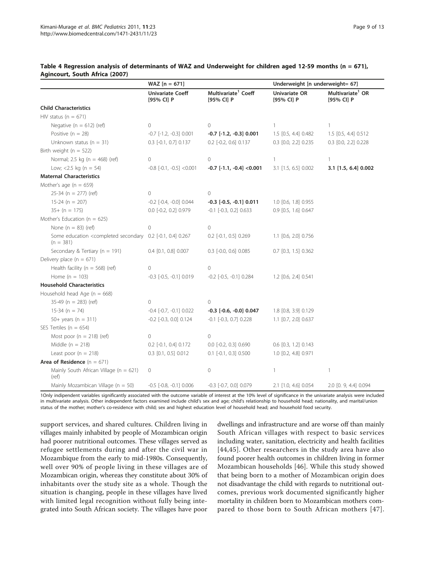|                                                                                                                | $WAZ$ [n = 671]                       |                                               | Underweight [n underweight= 67]    |                                            |  |
|----------------------------------------------------------------------------------------------------------------|---------------------------------------|-----------------------------------------------|------------------------------------|--------------------------------------------|--|
|                                                                                                                | <b>Univariate Coeff</b><br>[95% CI] P | Multivariate <sup>1</sup> Coeff<br>[95% CI] P | <b>Univariate OR</b><br>[95% CI] P | Multivariate <sup>1</sup> OR<br>[95% CI] P |  |
| <b>Child Characteristics</b>                                                                                   |                                       |                                               |                                    |                                            |  |
| HIV status ( $n = 671$ )                                                                                       |                                       |                                               |                                    |                                            |  |
| Negative ( $n = 612$ ) (ref)                                                                                   | $\circ$                               | $\overline{0}$                                | 1                                  | $\mathbf{1}$                               |  |
| Positive ( $n = 28$ )                                                                                          | $-0.7$ $[-1.2, -0.3]$ 0.001           | $-0.7$ [ $-1.2$ , $-0.3$ ] 0.001              | 1.5 [0.5, 4.4] 0.482               | 1.5 [0.5, 4.4] 0.512                       |  |
| Unknown status ( $n = 31$ )                                                                                    | 0.3 [-0.1, 0.7] 0.137                 | $0.2$ [-0.2, 0.6] $0.137$                     | 0.3 [0.0, 2.2] 0.235               | 0.3 [0.0, 2.2] 0.228                       |  |
| Birth weight ( $n = 522$ )                                                                                     |                                       |                                               |                                    |                                            |  |
| Normal; 2.5 kg (n = 468) (ref)                                                                                 | 0                                     | $\circ$                                       | 1                                  | $\mathbf{1}$                               |  |
| Low; < $2.5$ kg (n = 54)                                                                                       | $-0.8$ $[-0.1, -0.5] < 0.001$         | $-0.7$ [ $-1.1$ , $-0.4$ ] <0.001             | 3.1 [1.5, 6.5] 0.002               | 3.1 [1.5, 6.4] 0.002                       |  |
| <b>Maternal Characteristics</b>                                                                                |                                       |                                               |                                    |                                            |  |
| Mother's age ( $n = 659$ )                                                                                     |                                       |                                               |                                    |                                            |  |
| 25-34 (n = 277) (ref)                                                                                          | $\circ$                               | $\circledcirc$                                |                                    |                                            |  |
| $15-24 (n = 207)$                                                                                              | $-0.2$ $[-0.4, -0.0]$ 0.044           | $-0.3$ [ $-0.5$ , $-0.1$ ] 0.011              | 1.0 [0.6, 1.8] 0.955               |                                            |  |
| $35+ (n = 175)$                                                                                                | 0.0 [-0.2, 0.2] 0.979                 | $-0.1$ $[-0.3, 0.2]$ 0.633                    | 0.9 [0.5, 1.6] 0.647               |                                            |  |
| Mother's Education ( $n = 625$ )                                                                               |                                       |                                               |                                    |                                            |  |
| None ( $n = 83$ ) (ref)                                                                                        | $\circ$                               | 0                                             |                                    |                                            |  |
| Some education <completed 0.2="" 0.267<br="" 0.4]="" [-0.1,="" secondary=""><math>(n = 381)</math></completed> |                                       | 0.2 [-0.1, 0.5] 0.269                         | 1.1 [0.6, 2.0] 0.756               |                                            |  |
| Secondary & Tertiary ( $n = 191$ )                                                                             | $0.4$ [0.1, 0.8] 0.007                | 0.3 [-0.0, 0.6] 0.085                         | $0.7$ $[0.3, 1.5]$ $0.362$         |                                            |  |
| Delivery place ( $n = 671$ )                                                                                   |                                       |                                               |                                    |                                            |  |
| Health facility ( $n = 568$ ) (ref)                                                                            | 0                                     | 0                                             |                                    |                                            |  |
| Home $(n = 103)$                                                                                               | $-0.3$ $[-0.5, -0.1]$ 0.019           | $-0.2$ $[-0.5, -0.1]$ 0.284                   | 1.2 [0.6, 2.4] 0.541               |                                            |  |
| <b>Household Characteristics</b>                                                                               |                                       |                                               |                                    |                                            |  |
| Household head Age ( $n = 668$ )                                                                               |                                       |                                               |                                    |                                            |  |
| 35-49 ( $n = 283$ ) (ref)                                                                                      | $\circ$                               | $\mathbf{0}$                                  |                                    |                                            |  |
| $15-34 (n = 74)$                                                                                               | $-0.4$ $[-0.7, -0.1]$ 0.022           | $-0.3$ $[-0.6, -0.0]$ 0.047                   | 1.8 [0.8, 3.9] 0.129               |                                            |  |
| 50+ years ( $n = 311$ )                                                                                        | $-0.2$ $[-0.3, 0.0]$ 0.124            | $-0.1$ $[-0.3, 0.7]$ 0.228                    | 1.1 [0.7, 2.0] 0.637               |                                            |  |
| SES Tertiles ( $n = 654$ )                                                                                     |                                       |                                               |                                    |                                            |  |
| Most poor ( $n = 218$ ) (ref)                                                                                  | $\circ$                               | $\circ$                                       |                                    |                                            |  |
| Middle ( $n = 218$ )                                                                                           | 0.2 [-0.1, 0.4] 0.172                 | 0.0 [-0.2, 0.3] 0.690                         | 0.6 [0.3, 1.2] 0.143               |                                            |  |
| Least poor ( $n = 218$ )                                                                                       | $0.3$ $[0.1, 0.5]$ $0.012$            | $0.1$ [-0.1, 0.3] 0.500                       | 1.0 [0.2, 4.8] 0.971               |                                            |  |
| <b>Area of Residence</b> $(n = 671)$                                                                           |                                       |                                               |                                    |                                            |  |
| Mainly South African Village ( $n = 621$ )<br>(ref)                                                            | 0                                     | $\circ$                                       | 1                                  | $\mathbf{1}$                               |  |
| Mainly Mozambican Village ( $n = 50$ )                                                                         | $-0.5$ $[-0.8, -0.1]$ 0.006           | $-0.3$ $[-0.7, 0.0]$ 0.079                    | 2.1 [1.0, 4.6] 0.054               | 2.0 [0. 9, 4.4] 0.094                      |  |

#### <span id="page-8-0"></span>Table 4 Regression analysis of determinants of WAZ and Underweight for children aged 12-59 months (n = 671), Agincourt, South Africa (2007)

1Only indipendent variables significantly associated with the outcome variable of interest at the 10% level of significance in the univariate analysis were included in multivariate analysis. Other independent factors examined include child's sex and age; child's relationship to household head; nationality, and marital/union status of the mother; mother's co-residence with child; sex and highest education level of household head; and household food security.

support services, and shared cultures. Children living in villages mainly inhabited by people of Mozambican origin had poorer nutritional outcomes. These villages served as refugee settlements during and after the civil war in Mozambique from the early to mid-1980s. Consequently, well over 90% of people living in these villages are of Mozambican origin, whereas they constitute about 30% of inhabitants over the study site as a whole. Though the situation is changing, people in these villages have lived with limited legal recognition without fully being integrated into South African society. The villages have poor

dwellings and infrastructure and are worse off than mainly South African villages with respect to basic services including water, sanitation, electricity and health facilities [[44,45\]](#page-12-0). Other researchers in the study area have also found poorer health outcomes in children living in former Mozambican households [[46\]](#page-12-0). While this study showed that being born to a mother of Mozambican origin does not disadvantage the child with regards to nutritional outcomes, previous work documented significantly higher mortality in children born to Mozambican mothers compared to those born to South African mothers [[47\]](#page-12-0).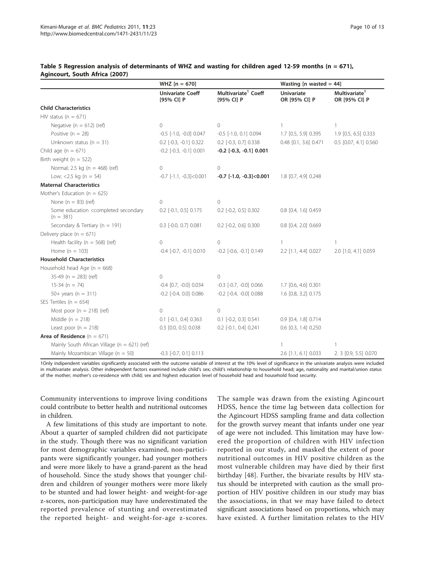<span id="page-9-0"></span>

| Table 5 Regression analysis of determinants of WHZ and wasting for children aged 12-59 months ( $n = 671$ ), |  |
|--------------------------------------------------------------------------------------------------------------|--|
| Agincourt, South Africa (2007)                                                                               |  |

|                                                                              | $WHZ [n = 670]$                       |                                               | Wasting [n wasted = $44$ ]         |                                            |  |
|------------------------------------------------------------------------------|---------------------------------------|-----------------------------------------------|------------------------------------|--------------------------------------------|--|
|                                                                              | <b>Univariate Coeff</b><br>[95% CI] P | Multivariate <sup>1</sup> Coeff<br>[95% CI] P | <b>Univariate</b><br>OR [95% CI] P | Multivariate <sup>1</sup><br>OR [95% CI] P |  |
| <b>Child Characteristics</b>                                                 |                                       |                                               |                                    |                                            |  |
| HIV status ( $n = 671$ )                                                     |                                       |                                               |                                    |                                            |  |
| Negative ( $n = 612$ ) (ref)                                                 | $\circ$                               | $\mathbf{0}$                                  | 1                                  | $\mathbf{1}$                               |  |
| Positive ( $n = 28$ )                                                        | $-0.5$ [ $-1.0$ , $-0.0$ ] $0.047$    | $-0.5$ [ $-1.0$ , 0.1] 0.094                  | 1.7 [0.5, 5.9] 0.395               | 1.9 [0.5, 6.5] 0.333                       |  |
| Unknown status ( $n = 31$ )                                                  | $0.2$ [-0.3, -0.1] $0.322$            | 0.2 [-0.3, 0.7] 0.338                         | 0.48 [0.1, 3.6] 0.471              | 0.5 [0.07, 4.1] 0.560                      |  |
| Child age $(n = 671)$                                                        | $-0.2$ $[-0.3, -0.1]$ 0.001           | $-0.2$ $[-0.3, -0.1]$ 0.001                   |                                    |                                            |  |
| Birth weight ( $n = 522$ )                                                   |                                       |                                               |                                    |                                            |  |
| Normal; 2.5 kg ( $n = 468$ ) (ref)                                           | 0                                     | $\mathbf{0}$                                  |                                    |                                            |  |
| Low; <2.5 kg ( $n = 54$ )                                                    | $-0.7$ [ $-1.1$ , $-0.3$ ]<0.001      | $-0.7$ [ $-1.0$ , $-0.3$ ]<0.001              | 1.8 [0.7, 4.9] 0.248               |                                            |  |
| <b>Maternal Characteristics</b>                                              |                                       |                                               |                                    |                                            |  |
| Mother's Education ( $n = 625$ )                                             |                                       |                                               |                                    |                                            |  |
| None ( $n = 83$ ) (ref)                                                      | 0                                     | $\overline{0}$                                |                                    |                                            |  |
| Some education <completed secondary<br=""><math>(n = 381)</math></completed> | 0.2 [-0.1, 0.5] 0.175                 | $0.2$ [-0.2, 0.5] 0.302                       | 0.8 [0.4, 1.6] 0.459               |                                            |  |
| Secondary & Tertiary ( $n = 191$ )                                           | $0.3$ [-0.0, 0.7] 0.081               | $0.2$ [-0.2, 0.6] 0.300                       | 0.8 [0.4, 2.0] 0.669               |                                            |  |
| Delivery place ( $n = 671$ )                                                 |                                       |                                               |                                    |                                            |  |
| Health facility ( $n = 568$ ) (ref)                                          | 0                                     | $\overline{0}$                                | 1                                  | $\mathbf{1}$                               |  |
| Home $(n = 103)$                                                             | $-0.4$ $[-0.7, -0.1]$ 0.010           | $-0.2$ $[-0.6, -0.1]$ 0.149                   | 2.2 [1.1, 4.4] 0.027               | 2.0 [1.0, 4.1] 0.059                       |  |
| <b>Household Characteristics</b>                                             |                                       |                                               |                                    |                                            |  |
| Household head Age ( $n = 668$ )                                             |                                       |                                               |                                    |                                            |  |
| 35-49 ( $n = 283$ ) (ref)                                                    | $\mathbf 0$                           | $\overline{0}$                                |                                    |                                            |  |
| $15-34$ (n = 74)                                                             | $-0.4$ $[0.7, -0.0]$ 0.034            | $-0.3$ $[-0.7, -0.0]$ 0.066                   | 1.7 [0.6, 4.6] 0.301               |                                            |  |
| 50+ years ( $n = 311$ )                                                      | $-0.2$ $[-0.4, 0.0]$ 0.086            | $-0.2$ $[-0.4, -0.0]$ 0.088                   | 1.6 [0.8, 3.2] 0.175               |                                            |  |
| SES Tertiles ( $n = 654$ )                                                   |                                       |                                               |                                    |                                            |  |
| Most poor ( $n = 218$ ) (ref)                                                | 0                                     | 0                                             |                                    |                                            |  |
| Middle ( $n = 218$ )                                                         | $0.1$ [-0.1, 0.4] 0.363               | $0.1$ [-0.2, 0.3] $0.541$                     | 0.9 [0.4, 1.8] 0.714               |                                            |  |
| Least poor ( $n = 218$ )                                                     | 0.3 [0.0, 0.5] 0.038                  | 0.2 [-0.1, 0.4] 0.241                         | 0.6 [0.3, 1.4] 0.250               |                                            |  |
| <b>Area of Residence</b> $(n = 671)$                                         |                                       |                                               |                                    |                                            |  |
| Mainly South African Village ( $n = 621$ ) (ref)                             |                                       |                                               | 1                                  | 1                                          |  |
| Mainly Mozambican Village ( $n = 50$ )                                       | $-0.3$ $[-0.7, 0.1]$ 0.113            |                                               | 2.6 [1.1, 6.1] 0.033               | 2. 3 [0.9, 5.5] 0.070                      |  |

1Only indipendent variables significantly associated with the outcome variable of interest at the 10% level of significance in the univariate analysis were included in multivariate analysis. Other independent factors examined include child's sex; child's relationship to household head; age, nationality and marital/union status of the mother; mother's co-residence with child; sex and highest education level of household head and household food security.

Community interventions to improve living conditions could contribute to better health and nutritional outcomes in children.

A few limitations of this study are important to note. About a quarter of sampled children did not participate in the study. Though there was no significant variation for most demographic variables examined, non-participants were significantly younger, had younger mothers and were more likely to have a grand-parent as the head of household. Since the study shows that younger children and children of younger mothers were more likely to be stunted and had lower height- and weight-for-age z-scores, non-participation may have underestimated the reported prevalence of stunting and overestimated the reported height- and weight-for-age z-scores.

The sample was drawn from the existing Agincourt HDSS, hence the time lag between data collection for the Agincourt HDSS sampling frame and data collection for the growth survey meant that infants under one year of age were not included. This limitation may have lowered the proportion of children with HIV infection reported in our study, and masked the extent of poor nutritional outcomes in HIV positive children as the most vulnerable children may have died by their first birthday [[48](#page-12-0)]. Further, the bivariate results by HIV status should be interpreted with caution as the small proportion of HIV positive children in our study may bias the associations, in that we may have failed to detect significant associations based on proportions, which may have existed. A further limitation relates to the HIV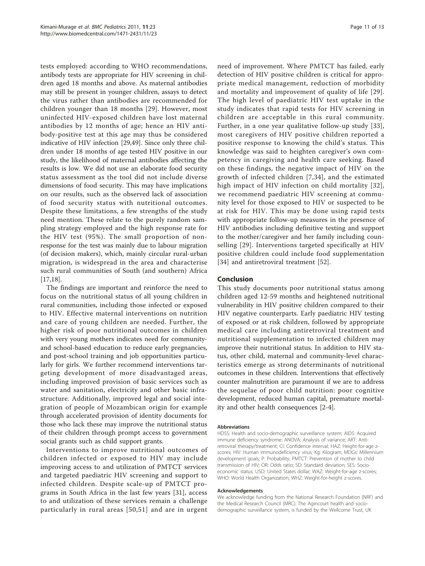tests employed: according to WHO recommendations, antibody tests are appropriate for HIV screening in children aged 18 months and above. As maternal antibodies may still be present in younger children, assays to detect the virus rather than antibodies are recommended for children younger than 18 months [\[29](#page-11-0)]. However, most uninfected HIV-exposed children have lost maternal antibodies by 12 months of age; hence an HIV antibody-positive test at this age may thus be considered indicative of HIV infection [[29](#page-11-0),[49](#page-12-0)]. Since only three children under 18 months of age tested HIV positive in our study, the likelihood of maternal antibodies affecting the results is low. We did not use an elaborate food security status assessment as the tool did not include diverse dimensions of food security. This may have implications on our results, such as the observed lack of association of food security status with nutritional outcomes. Despite these limitations, a few strengths of the study need mention. These relate to the purely random sampling strategy employed and the high response rate for the HIV test (95%). The small proportion of nonresponse for the test was mainly due to labour migration (of decision makers), which, mainly circular rural-urban migration, is widespread in the area and characterise such rural communities of South (and southern) Africa [[17,18\]](#page-11-0).

The findings are important and reinforce the need to focus on the nutritional status of all young children in rural communities, including those infected or exposed to HIV. Effective maternal interventions on nutrition and care of young children are needed. Further, the higher risk of poor nutritional outcomes in children with very young mothers indicates need for communityand school-based education to reduce early pregnancies, and post-school training and job opportunities particularly for girls. We further recommend interventions targeting development of more disadvantaged areas, including improved provision of basic services such as water and sanitation, electricity and other basic infrastructure. Additionally, improved legal and social integration of people of Mozambican origin for example through accelerated provision of identity documents for those who lack these may improve the nutritional status of their children through prompt access to government social grants such as child support grants.

Interventions to improve nutritional outcomes of children infected or exposed to HIV may include improving access to and utilization of PMTCT services and targeted paediatric HIV screening and support to infected children. Despite scale-up of PMTCT programs in South Africa in the last few years [[31\]](#page-11-0), access to and utilization of these services remain a challenge particularly in rural areas [[50,51](#page-12-0)] and are in urgent

need of improvement. Where PMTCT has failed, early detection of HIV positive children is critical for appropriate medical management, reduction of morbidity and mortality and improvement of quality of life [[29](#page-11-0)]. The high level of paediatric HIV test uptake in the study indicates that rapid tests for HIV screening in children are acceptable in this rural community. Further, in a one year qualitative follow-up study [[33](#page-12-0)], most caregivers of HIV positive children reported a positive response to knowing the child's status. This knowledge was said to heighten caregiver's own competency in caregiving and health care seeking. Based on these findings, the negative impact of HIV on the growth of infected children [[7,](#page-11-0)[34\]](#page-12-0), and the estimated high impact of HIV infection on child mortality [[32](#page-12-0)], we recommend paediatric HIV screening at community level for those exposed to HIV or suspected to be at risk for HIV. This may be done using rapid tests with appropriate follow-up measures in the presence of HIV antibodies including definitive testing and support to the mother/caregiver and her family including counselling [\[29\]](#page-11-0). Interventions targeted specifically at HIV positive children could include food supplementation [[34\]](#page-12-0) and antiretroviral treatment [\[52](#page-12-0)].

# Conclusion

This study documents poor nutritional status among children aged 12-59 months and heightened nutritional vulnerability in HIV positive children compared to their HIV negative counterparts. Early paediatric HIV testing of exposed or at risk children, followed by appropriate medical care including antiretroviral treatment and nutritional supplementation to infected children may improve their nutritional status. In addition to HIV status, other child, maternal and community-level characteristics emerge as strong determinants of nutritional outcomes in these children. Interventions that effectively counter malnutrition are paramount if we are to address the sequelae of poor child nutrition: poor cognitive development, reduced human capital, premature mortality and other health consequences [\[2](#page-11-0)-[4\]](#page-11-0).

#### Abbreviations

HDSS: Health and socio-demographic surveillance system; AIDS: Acquired immune deficiency syndrome; ANOVA: Analysis of variance; ART: Antiretroviral therapy/treatment; CI: Confidence interval; HAZ: Height-for-age zscores; HIV: Human immunodeficiency virus; Kg: Kilogram; MDGs: Millennium development goals; P: Probability; PMTCT: Prevention of mother to child transmission of HIV; OR: Odds ratio; SD: Standard deviation; SES: Socioeconomic status; USD: United States dollar; WAZ: Weight-for-age z-scores; WHO: World Health Organization; WHZ: Weight-for-height z-scores.

#### Acknowledgements

We acknowledge funding from the National Research Foundation (NRF) and the Medical Research Council (MRC). The Agincourt health and sociodemographic surveillance system, is funded by the Wellcome Trust, UK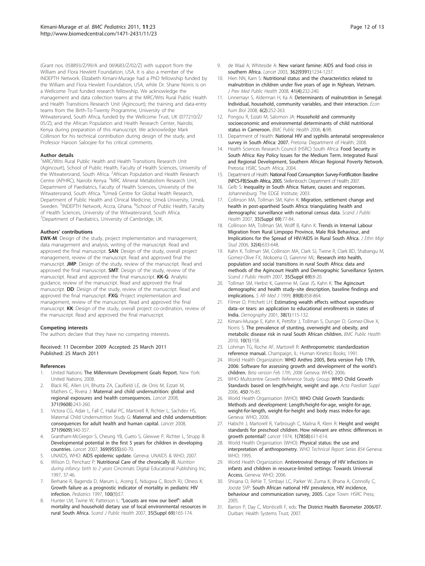<span id="page-11-0"></span>(Grant nos. 058893/Z/99/A and 069683/Z/02/Z) with support from the William and Flora Hewlett Foundation, USA. It is also a member of the INDEPTH Network. Elizabeth Kimani-Murage had a PhD fellowship funded by the William and Flora Hewlett Foundation, USA, while Dr. Shane Norris is on a Wellcome Trust funded research fellowship. We acknowledge the management and data collection teams at the MRC/Wits Rural Public Health and Health Transitions Research Unit (Agincourt); the training and data-entry teams from the Birth-To-Twenty Programme, University of the Witwatersrand, South Africa, funded by the Wellcome Trust, UK (077210/Z/ 05/Z); and the African Population and Health Research Center, Nairobi, Kenya during preparation of this manuscript. We acknowledge Mark Collinson for his technical contribution during design of the study, and Professor Haroon Saloojee for his critical comments.

#### Author details

<sup>1</sup>MRC/Wits Rural Public Health and Health Transitions Research Unit (Agincourt), School of Public Health, Faculty of Health Sciences, University of the Witwatersrand, South Africa. <sup>2</sup>African Population and Health Research<br>Centre (APHRC), Nairobi Kenya. <sup>3</sup>MRC Mineral Metabolism Research Unit, Department of Paediatrics, Faculty of Health Sciences, University of the Witwatersrand, South Africa. <sup>4</sup>Umeå Centre for Global Health Research, Department of Public Health and Clinical Medicine, Umeå University, Umeå, Sweden. <sup>5</sup>INDEPTH Network, Accra, Ghana. <sup>6</sup>School of Public Health, Faculty of Health Sciences, University of the Witwatersrand, South Africa. <sup>7</sup>Department of Paediatrics, University of Cambridge, UK.

#### Authors' contributions

EWK-M: Design of the study, project implementation and management, data management and analysis, writing of the manuscript. Read and approved the final manuscript. **SAN**: Design of the study, overall project management, review of the manuscript. Read and approved final the manuscript. JMP: Design of the study, review of the manuscript. Read and approved the final manuscript. SMT: Design of the study, review of the manuscript. Read and approved the final manuscript. KK-G: Analytic guidance, review of the manuscript. Read and approved the final manuscript. DD: Design of the study, review of the manuscript. Read and approved the final manuscript. FXG: Project implementation and management, review of the manuscript. Read and approved the final manuscript. KK: Design of the study, overall project co-ordination, review of the manuscript. Read and approved the final manuscript.

#### Competing interests

The authors declare that they have no competing interests.

#### Received: 11 December 2009 Accepted: 25 March 2011 Published: 25 March 2011

#### References

- United Nations: The Millennium Development Goals Report. New York: United Nations; 2008.
- 2. Black RE, Allen LH, Bhutta ZA, Caulfield LE, de Onis M, Ezzati M, Mathers C, Rivera J: [Maternal and child undernutrition: global and](http://www.ncbi.nlm.nih.gov/pubmed/18207566?dopt=Abstract) [regional exposures and health consequences.](http://www.ncbi.nlm.nih.gov/pubmed/18207566?dopt=Abstract) Lancet 2008, 371(9608):243-260.
- 3. Victora CG, Adair L, Fall C, Hallal PC, Martorell R, Richter L, Sachdev HS, Maternal Child Undernutrition Study G: [Maternal and child undernutrition:](http://www.ncbi.nlm.nih.gov/pubmed/18206223?dopt=Abstract) [consequences for adult health and human capital.](http://www.ncbi.nlm.nih.gov/pubmed/18206223?dopt=Abstract) Lancet 2008, 371(9609):340-357.
- 4. Grantham-McGregor S, Cheung YB, Cueto S, Glewwe P, Richter L, Strupp B: [Developmental potential in the first 5 years for children in developing](http://www.ncbi.nlm.nih.gov/pubmed/17208643?dopt=Abstract) [countries.](http://www.ncbi.nlm.nih.gov/pubmed/17208643?dopt=Abstract) Lancet 2007, 369(9555):60-70.
- UNAIDS, WHO: AIDS epidemic update. Geneva: UNAIDS & WHO; 2007.
- 6. Wilson D, Pencharz P: Nutritional Care of the chronically ill. Nutrition during infancy: birth to 2 years Cincinnati: Digital Educational Publishing Inc; 1997, 37-46.
- 7. Berhane R, Bagenda D, Marum L, Aceng E, Ndugwa C, Bosch RJ, Olness K: [Growth failure as a prognostic indicator of mortality in pediatric HIV](http://www.ncbi.nlm.nih.gov/pubmed/9200381?dopt=Abstract) [infection.](http://www.ncbi.nlm.nih.gov/pubmed/9200381?dopt=Abstract) Pediatrics 1997, 100(1):E7.
- Hunter LM, Twine W, Patterson L: "Locusts are now our beef": adult mortality and household dietary use of local environmental resources in rural South Africa. Scand J Public Health 2007, 35(Suppl 69):165-174.
- 9. de Waal A, Whiteside A: [New variant famine: AIDS and food crisis in](http://www.ncbi.nlm.nih.gov/pubmed/14568749?dopt=Abstract) [southern Africa.](http://www.ncbi.nlm.nih.gov/pubmed/14568749?dopt=Abstract) Lancet 2003, 362(9391):1234-1237.
- 10. Hien NN, Kam S: [Nutritional status and the characteristics related to](http://www.ncbi.nlm.nih.gov/pubmed/18664729?dopt=Abstract) [malnutrition in children under five years of age in Nghean, Vietnam.](http://www.ncbi.nlm.nih.gov/pubmed/18664729?dopt=Abstract) J Prev Med Public Health 2008, 41(4):232-240.
- 11. Linnemayr S, Alderman H, Ka A: [Determinants of malnutrition in Senegal:](http://www.ncbi.nlm.nih.gov/pubmed/18603490?dopt=Abstract) [Individual, household, community variables, and their interaction.](http://www.ncbi.nlm.nih.gov/pubmed/18603490?dopt=Abstract) Econ hum Biol 2008, 6(2):252-263.
- 12. Pongou R, Ezzati M, Salomon JA: [Household and community](http://www.ncbi.nlm.nih.gov/pubmed/16618370?dopt=Abstract) [socioeconomic and environmental determinants of child nutritional](http://www.ncbi.nlm.nih.gov/pubmed/16618370?dopt=Abstract) [status in Cameroon.](http://www.ncbi.nlm.nih.gov/pubmed/16618370?dopt=Abstract) BMC Public Health 2006, 6:98.
- 13. Department of Health: National HIV and syphilis antenatal seroprevalence survey in South Africa: 2007. Pretoria: Department of Health; 2008.
- 14. Health Sciences Research Council (HSRC) South Africa: Food Security in South Africa: Key Policy Issues for the Medium Term. Integrated Rural and Regional Development, Southern African Regional Poverty Network. Pretoria: HSRC South Africa; 2004.
- 15. Department of Health: National Food Consumption Survey-Fortification Baseline (NFCS-FB):South Africa, 2005. Stellenbosch: Department of Health; 2007.
- 16. Gelb S: Inequality in South Africa: Nature, causes and responses. Johannesburg: The EDGE Institute; 2003.
- 17. Collinson MA, Tollman SM, Kahn K: Migration, settlement change and health in post-apartheid South Africa: triangulating health and demographic surveillance with national census data. Scand J Public Health 2007, 35(Suppl 69):77-84.
- 18. Collinson MA, Tollman SM, Wolff B, Kahn K: [Trends in Internal Labour](http://www.ncbi.nlm.nih.gov/pubmed/20396611?dopt=Abstract) [Migration from Rural Limpopo Province, Male Risk Behaviour, and](http://www.ncbi.nlm.nih.gov/pubmed/20396611?dopt=Abstract) Implications [for the Spread of HIV/AIDS in Rural South Africa.](http://www.ncbi.nlm.nih.gov/pubmed/20396611?dopt=Abstract) J Ethn Migr Stud 2006, 32(4):633-648.
- 19. Kahn K, Tollman SM, Collinson MA, Clark SJ, Twine R, Clark BD, Shabangu M, Gomez-Olive FX, Mokoena O, Garenne ML: Research into health, population and social transitions in rural South Africa: data and methods of the Agincourt Health and Demographic Surveillance System. Scand J Public Health 2007, 35(Suppl 69):8-20.
- 20. Tollman SM, Herbst K, Garenne M, Gear JS, Kahn K: [The Agincourt](http://www.ncbi.nlm.nih.gov/pubmed/10488362?dopt=Abstract) demographic and health study–[site description, baseline findings and](http://www.ncbi.nlm.nih.gov/pubmed/10488362?dopt=Abstract) [implications.](http://www.ncbi.nlm.nih.gov/pubmed/10488362?dopt=Abstract) S Afr Med J 1999, 89(8):858-864.
- 21. Filmer D, Pritchett LH: [Estimating wealth effects without expenditure](http://www.ncbi.nlm.nih.gov/pubmed/11227840?dopt=Abstract) data–[or tears: an application to educational enrollments in states of](http://www.ncbi.nlm.nih.gov/pubmed/11227840?dopt=Abstract) [India.](http://www.ncbi.nlm.nih.gov/pubmed/11227840?dopt=Abstract) Demography 2001, 38(1):115-132.
- 22. Kimani-Murage E, Kahn K, Pettifor J, Tollman S, Dunger D, Gomez-Olive X, Norris S: [The prevalence of stunting, overweight and obesity, and](http://www.ncbi.nlm.nih.gov/pubmed/20338024?dopt=Abstract) [metabolic disease risk in rural South African children.](http://www.ncbi.nlm.nih.gov/pubmed/20338024?dopt=Abstract) BMC Public Health 2010, 10(1):158.
- 23. Lohman TG, Roche AF, Martorell R: Anthropometric standardization reference manual. Champaign, IL: Human Kinetics Books; 1991.
- 24. World Health Organization: WHO Anthro 2005, Beta version Feb 17th, 2006: Software for assessing growth and development of the world's children. Beta version Feb 17th, 2006 Geneva: WHO; 2006.
- 25. WHO Multicentre Growth Reference Study Group: [WHO Child Growth](http://www.ncbi.nlm.nih.gov/pubmed/16817681?dopt=Abstract) [Standards based on length/height, weight and age.](http://www.ncbi.nlm.nih.gov/pubmed/16817681?dopt=Abstract) Acta Paediatr Suppl 2006, 450:76-85.
- 26. World Health Organisation (WHO): WHO Child Growth Standards: Methods and development: Length/height-for-age, weight-for-age, weight-for-length, weight-for-height and body mass index-for-age. Geneva: WHO; 2006.
- 27. Habicht J, Martorell R, Yarbrough C, Malina R, Klein R: [Height and weight](http://www.ncbi.nlm.nih.gov/pubmed/4132271?dopt=Abstract) [standards for preschool children. How relevant are ethnic differences in](http://www.ncbi.nlm.nih.gov/pubmed/4132271?dopt=Abstract) [growth potential?](http://www.ncbi.nlm.nih.gov/pubmed/4132271?dopt=Abstract) Lancet 1974, 1(7858):611-614.
- 28. World Health Organisation (WHO): Physical status: the use and interpretation of anthropometry. WHO Technical Report Series 854 Geneva: WHO; 1995.
- 29. World Health Organization: Antiretroviral therapy of HIV infections in infants and children in resource-limited settings: Towards Universal Access. Geneva: WHO; 2006.
- 30. Shisana O, Rehle T, Simbayi LC, Parker W, Zuma K, Bhana A, Connolly C, Jooste SVP: South African national HIV prevalence, HIV incidence, behaviour and communication survey, 2005. Cape Town: HSRC Press; 2005.
- 31. Barron P, Day C, Monticelli F, eds: The District Health Barometer 2006/07. Durban: Health Systems Trust; 2007.